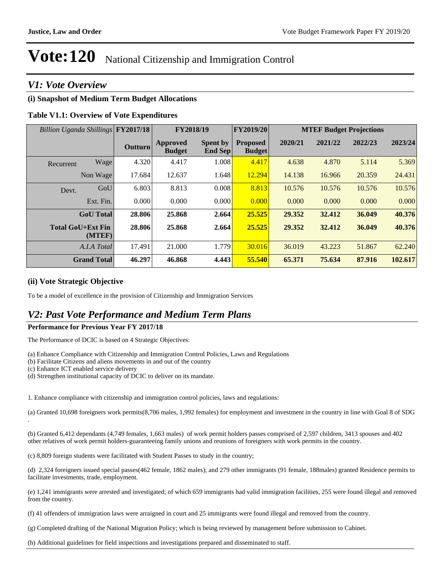#### *V1: Vote Overview*

#### **(i) Snapshot of Medium Term Budget Allocations**

#### **Table V1.1: Overview of Vote Expenditures**

| Billion Uganda Shillings FY2017/18 |           |                |                                  | FY2019/20<br>FY2018/19     |                                  |         |         | <b>MTEF Budget Projections</b> |         |
|------------------------------------|-----------|----------------|----------------------------------|----------------------------|----------------------------------|---------|---------|--------------------------------|---------|
|                                    |           | <b>Outturn</b> | <b>Approved</b><br><b>Budget</b> | <b>Spent by</b><br>End Sep | <b>Proposed</b><br><b>Budget</b> | 2020/21 | 2021/22 | 2022/23                        | 2023/24 |
| Recurrent                          | Wage      | 4.320          | 4.417                            | 1.008                      | 4.417                            | 4.638   | 4.870   | 5.114                          | 5.369   |
| Non Wage                           |           | 17.684         | 12.637                           | 1.648                      | 12.294                           | 14.138  | 16.966  | 20.359                         | 24.431  |
| Devt.                              | GoU       | 6.803          | 8.813                            | 0.008                      | 8.813                            | 10.576  | 10.576  | 10.576                         | 10.576  |
|                                    | Ext. Fin. | 0.000          | 0.000                            | 0.000                      | 0.000                            | 0.000   | 0.000   | 0.000                          | 0.000   |
| <b>GoU</b> Total                   |           | 28.806         | 25.868                           | 2.664                      | 25.525                           | 29.352  | 32.412  | 36.049                         | 40.376  |
| <b>Total GoU+Ext Fin</b>           | (MTEF)    | 28.806         | 25.868                           | 2.664                      | 25.525                           | 29.352  | 32.412  | 36.049                         | 40.376  |
| A.I.A Total                        |           | 17.491         | 21.000                           | 1.779                      | 30.016                           | 36.019  | 43.223  | 51.867                         | 62.240  |
| <b>Grand Total</b>                 |           | 46.297         | 46.868                           | 4.443                      | 55.540                           | 65.371  | 75.634  | 87.916                         | 102.617 |

#### **(ii) Vote Strategic Objective**

To be a model of excellence in the provision of Citizenship and Immigration Services

#### *V2: Past Vote Performance and Medium Term Plans*

#### **Performance for Previous Year FY 2017/18**

The Performance of DCIC is based on 4 Strategic Objectives:

- (a) Enhance Compliance with Citizenship and Immigration Control Policies, Laws and Regulations
- (b) Facilitate Citizens and aliens movements in and out of the country
- (c) Enhance ICT enabled service delivery
- (d) Strengthen institutional capacity of DCIC to deliver on its mandate.

1. Enhance compliance with citizenship and immigration control policies, laws and regulations:

(a) Granted 10,698 foreigners work permits(8,706 males, 1,992 females) for employment and investment in the country in line with Goal 8 of SDG .

(b) Granted 6,412 dependants (4,749 females, 1,663 males) of work permit holders passes comprised of 2,597 children, 3413 spouses and 402 other relatives of work permit holders-guaranteeing family unions and reunions of foreigners with work permits in the country.

(c) 8,809 foreign students were facilitated with Student Passes to study in the country;

(d) 2,324 foreigners issued special passes(462 female, 1862 males); and 279 other immigrants (91 female, 188males) granted Residence permits to facilitate investments, trade, employment.

(e) 1,241 immigrants were arrested and investigated; of which 659 immigrants had valid immigration facilities, 255 were found illegal and removed from the country.

(f) 41 offenders of immigration laws were arraigned in court and 25 immigrants were found illegal and removed from the country.

(g) Completed drafting of the National Migration Policy; which is being reviewed by management before submission to Cabinet.

(h) Additional guidelines for field inspections and investigations prepared and disseminated to staff.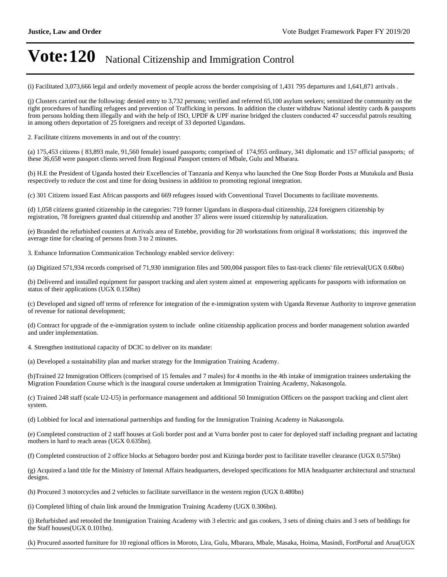(i) Facilitated 3,073,666 legal and orderly movement of people across the border comprising of 1,431 795 departures and 1,641,871 arrivals .

(j) Clusters carried out the following: denied entry to 3,732 persons; verified and referred 65,100 asylum seekers; sensitized the community on the right procedures of handling refugees and prevention of Trafficking in persons. In addition the cluster withdraw National identity cards & passports from persons holding them illegally and with the help of ISO, UPDF & UPF marine bridged the clusters conducted 47 successful patrols resulting in among others deportation of 25 foreigners and receipt of 33 deported Ugandans.

2. Facilitate citizens movements in and out of the country:

(a) 175,453 citizens ( 83,893 male, 91,560 female) issued passports; comprised of 174,955 ordinary, 341 diplomatic and 157 official passports; of these 36,658 were passport clients served from Regional Passport centers of Mbale, Gulu and Mbarara.

(b) H.E the President of Uganda hosted their Excellencies of Tanzania and Kenya who launched the One Stop Border Posts at Mutukula and Busia respectively to reduce the cost and time for doing business in addition to promoting regional integration.

(c) 301 Citizens issued East African passports and 669 refugees issued with Conventional Travel Documents to facilitate movements.

(d) 1,058 citizens granted citizenship in the categories: 719 former Ugandans in diaspora-dual citizenship, 224 foreigners citizenship by registration, 78 foreigners granted dual citizenship and another 37 aliens were issued citizenship by naturalization.

(e) Branded the refurbished counters at Arrivals area of Entebbe, providing for 20 workstations from original 8 workstations; this improved the average time for clearing of persons from 3 to 2 minutes.

3. Enhance Information Communication Technology enabled service delivery:

(a) Digitized 571,934 records comprised of 71,930 immigration files and 500,004 passport files to fast-track clients' file retrieval(UGX 0.60bn)

(b) Delivered and installed equipment for passport tracking and alert system aimed at empowering applicants for passports with information on status of their applications (UGX 0.150bn)

(c) Developed and signed off terms of reference for integration of the e-immigration system with Uganda Revenue Authority to improve generation of revenue for national development;

(d) Contract for upgrade of the e-immigration system to include online citizenship application process and border management solution awarded and under implementation.

4. Strengthen institutional capacity of DCIC to deliver on its mandate:

(a) Developed a sustainability plan and market strategy for the Immigration Training Academy.

(b)Trained 22 Immigration Officers (comprised of 15 females and 7 males) for 4 months in the 4th intake of immigration trainees undertaking the Migration Foundation Course which is the inaugural course undertaken at Immigration Training Academy, Nakasongola.

(c) Trained 248 staff (scale U2-U5) in performance management and additional 50 Immigration Officers on the passport tracking and client alert system.

(d) Lobbied for local and international partnerships and funding for the Immigration Training Academy in Nakasongola.

(e) Completed construction of 2 staff houses at Goli border post and at Vurra border post to cater for deployed staff including pregnant and lactating mothers in hard to reach areas (UGX 0.635bn).

(f) Completed construction of 2 office blocks at Sebagoro border post and Kizinga border post to facilitate traveller clearance (UGX 0.575bn)

(g) Acquired a land title for the Ministry of Internal Affairs headquarters, developed specifications for MIA headquarter architectural and structural designs.

(h) Procured 3 motorcycles and 2 vehicles to facilitate surveillance in the western region (UGX 0.480bn)

(i) Completed lifting of chain link around the Immigration Training Academy (UGX 0.306bn).

(j) Refurbished and retooled the Immigration Training Academy with 3 electric and gas cookers, 3 sets of dining chairs and 3 sets of beddings for the Staff houses(UGX 0.101bn).

(k) Procured assorted furniture for 10 regional offices in Moroto, Lira, Gulu, Mbarara, Mbale, Masaka, Hoima, Masindi, FortPortal and Arua(UGX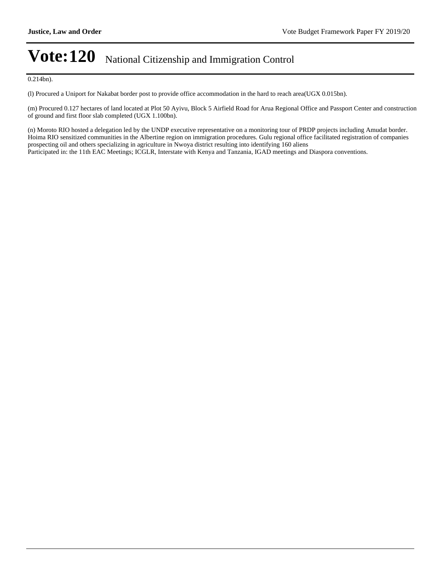0.214bn).

(l) Procured a Uniport for Nakabat border post to provide office accommodation in the hard to reach area(UGX 0.015bn).

(m) Procured 0.127 hectares of land located at Plot 50 Ayivu, Block 5 Airfield Road for Arua Regional Office and Passport Center and construction of ground and first floor slab completed (UGX 1.100bn).

(n) Moroto RIO hosted a delegation led by the UNDP executive representative on a monitoring tour of PRDP projects including Amudat border. Hoima RIO sensitized communities in the Albertine region on immigration procedures. Gulu regional office facilitated registration of companies prospecting oil and others specializing in agriculture in Nwoya district resulting into identifying 160 aliens Participated in: the 11th EAC Meetings; ICGLR, Interstate with Kenya and Tanzania, IGAD meetings and Diaspora conventions.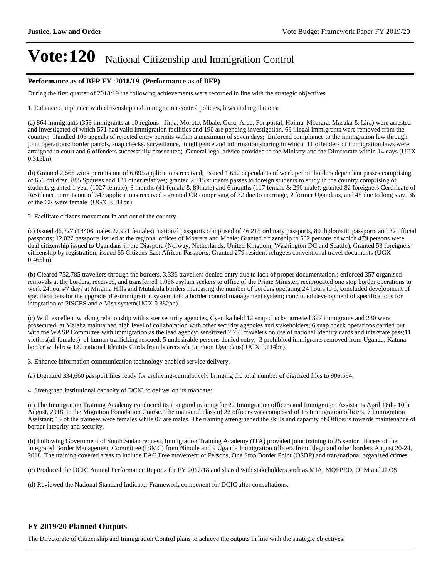#### **Performance as of BFP FY 2018/19 (Performance as of BFP)**

During the first quarter of 2018/19 the following achievements were recorded in line with the strategic objectives

1. Enhance compliance with citizenship and immigration control policies, laws and regulations:

(a) 864 immigrants (353 immigrants at 10 regions - Jinja, Moroto, Mbale, Gulu, Arua, Fortportal, Hoima, Mbarara, Masaka & Lira) were arrested and investigated of which 571 had valid immigration facilities and 190 are pending investigation. 69 illegal immigrants were removed from the country; Handled 106 appeals of rejected entry permits within a maximum of seven days; Enforced compliance to the immigration law through joint operations; border patrols, snap checks, surveillance, intelligence and information sharing in which 11 offenders of immigration laws were arraigned in court and 6 offenders successfully prosecuted; General legal advice provided to the Ministry and the Directorate within 14 days (UGX 0.315bn).

(b) Granted 2,566 work permits out of 6,695 applications received; issued 1,662 dependants of work permit holders dependant passes comprising of 656 children, 885 Spouses and 121 other relatives; granted 2,715 students passes to foreign students to study in the country comprising of students granted 1 year (1027 female), 3 months (41 female & 89male) and 6 months (117 female & 290 male); granted 82 foreigners Certificate of Residence permits out of 347 applications received - granted CR comprising of 32 due to marriage, 2 former Ugandans, and 45 due to long stay. 36 of the CR were female (UGX 0.511bn)

2. Facilitate citizens movement in and out of the country

(a) Issued 46,327 (18406 males,27,921 females) national passports comprised of 46,215 ordinary passports, 80 diplomatic passports and 32 official passports; 12,022 passports issued at the regional offices of Mbarara and Mbale; Granted citizenship to 532 persons of which 479 persons were dual citizenship issued to Ugandans in the Diaspora (Norway, Netherlands, United Kingdom, Washington DC and Seattle), Granted 53 foreigners citizenship by registration; issued 65 Citizens East African Passports; Granted 279 resident refugees conventional travel documents (UGX 0.465bn).

(b) Cleared 752,785 travellers through the borders, 3,336 travellers denied entry due to lack of proper documentation,; enforced 357 organised removals at the borders, received, and transferred 1,056 asylum seekers to office of the Prime Minister, reciprocated one stop border operations to work 24hours/7 days at Mirama Hills and Mutukula borders increasing the number of borders operating 24 hours to 6; concluded development of specifications for the upgrade of e-immigration system into a border control management system; concluded development of specifications for integration of PISCES and e-Visa system(UGX 0.382bn).

(c) With excellent working relationship with sister security agencies, Cyanika held 12 snap checks, arrested 397 immigrants and 230 were prosecuted; at Malaba maintained high level of collaboration with other security agencies and stakeholders; 6 snap check operations carried out with the WASP Committee with immigration as the lead agency; sensitized 2,255 travelers on use of national Identity cards and interstate pass;11 victims(all females) of human trafficking rescued; 5 undesirable persons denied entry; 3 prohibited immigrants removed from Uganda; Katuna border withdrew 122 national Identity Cards from bearers who are non Ugandans( UGX 0.114bn).

3. Enhance information communication technology enabled service delivery.

(a) Digitized 334,660 passport files ready for archiving-cumulatively bringing the total number of digitized files to 906,594.

4. Strengthen institutional capacity of DCIC to deliver on its mandate:

(a) The Immigration Training Academy conducted its inaugural training for 22 Immigration officers and Immigration Assistants April 16th- 10th August, 2018 in the Migration Foundation Course. The inaugural class of 22 officers was composed of 15 Immigration officers, 7 Immigration Assistant; 15 of the trainees were females while 07 are males. The training strengthened the skills and capacity of Officer's towards maintenance of border integrity and security.

(b) Following Government of South Sudan request, Immigration Training Academy (ITA) provided joint training to 25 senior officers of the Integrated Border Management Committee (IBMC) from Nimule and 9 Uganda Immigration officers from Elegu and other borders August 20-24, 2018. The training covered areas to include EAC Free movement of Persons, One Stop Border Point (OSBP) and transnational organized crimes.

(c) Produced the DCIC Annual Performance Reports for FY 2017/18 and shared with stakeholders such as MIA, MOFPED, OPM and JLOS

(d) Reviewed the National Standard Indicator Framework component for DCIC after consultations.

#### **FY 2019/20 Planned Outputs**

The Directorate of Citizenship and Immigration Control plans to achieve the outputs in line with the strategic objectives: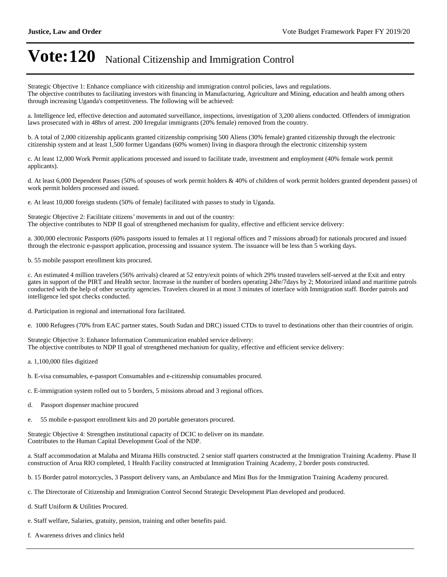Strategic Objective 1: Enhance compliance with citizenship and immigration control policies, laws and regulations. The objective contributes to facilitating investors with financing in Manufacturing, Agriculture and Mining, education and health among others through increasing Uganda's competitiveness. The following will be achieved:

a. Intelligence led, effective detection and automated surveillance, inspections, investigation of 3,200 aliens conducted. Offenders of immigration laws prosecuted with in 48hrs of arrest. 200 Irregular immigrants (20% female) removed from the country.

b. A total of 2,000 citizenship applicants granted citizenship comprising 500 Aliens (30% female) granted citizenship through the electronic citizenship system and at least 1,500 former Ugandans (60% women) living in diaspora through the electronic citizenship system

c. At least 12,000 Work Permit applications processed and issued to facilitate trade, investment and employment (40% female work permit applicants).

d. At least 6,000 Dependent Passes (50% of spouses of work permit holders & 40% of children of work permit holders granted dependent passes) of work permit holders processed and issued.

e. At least 10,000 foreign students (50% of female) facilitated with passes to study in Uganda.

Strategic Objective 2: Facilitate citizens' movements in and out of the country: The objective contributes to NDP II goal of strengthened mechanism for quality, effective and efficient service delivery:

a. 300,000 electronic Passports (60% passports issued to females at 11 regional offices and 7 missions abroad) for nationals procured and issued through the electronic e-passport application, processing and issuance system. The issuance will be less than 5 working days.

b. 55 mobile passport enrollment kits procured.

c. An estimated 4 million travelers (56% arrivals) cleared at 52 entry/exit points of which 29% trusted travelers self-served at the Exit and entry gates in support of the PIRT and Health sector. Increase in the number of borders operating 24hr/7days by 2; Motorized inland and maritime patrols conducted with the help of other security agencies. Travelers cleared in at most 3 minutes of interface with Immigration staff. Border patrols and intelligence led spot checks conducted.

d. Participation in regional and international fora facilitated.

e. 1000 Refugees (70% from EAC partner states, South Sudan and DRC) issued CTDs to travel to destinations other than their countries of origin.

Strategic Objective 3: Enhance Information Communication enabled service delivery: The objective contributes to NDP II goal of strengthened mechanism for quality, effective and efficient service delivery:

- a. 1,100,000 files digitized
- b. E-visa consumables, e-passport Consumables and e-citizenship consumables procured.
- c. E-immigration system rolled out to 5 borders, 5 missions abroad and 3 regional offices.
- d. Passport dispenser machine procured
- e. 55 mobile e-passport enrollment kits and 20 portable generators procured.

Strategic Objective 4: Strengthen institutional capacity of DCIC to deliver on its mandate. Contributes to the Human Capital Development Goal of the NDP.

a. Staff accommodation at Malaba and Mirama Hills constructed. 2 senior staff quarters constructed at the Immigration Training Academy. Phase II construction of Arua RIO completed, 1 Health Facility constructed at Immigration Training Academy, 2 border posts constructed.

b. 15 Border patrol motorcycles, 3 Passport delivery vans, an Ambulance and Mini Bus for the Immigration Training Academy procured.

- c. The Directorate of Citizenship and Immigration Control Second Strategic Development Plan developed and produced.
- d. Staff Uniform & Utilities Procured.
- e. Staff welfare, Salaries, gratuity, pension, training and other benefits paid.
- f. Awareness drives and clinics held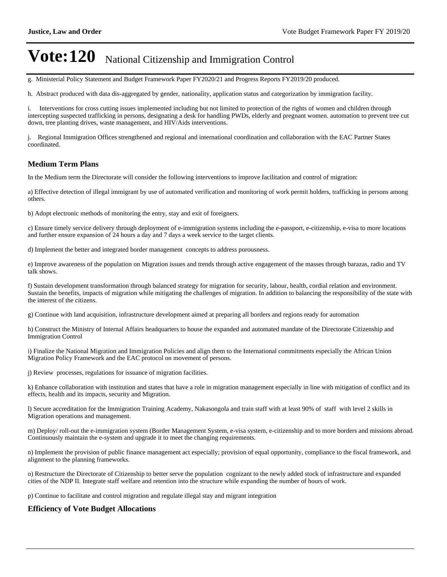g. Ministerial Policy Statement and Budget Framework Paper FY2020/21 and Progress Reports FY2019/20 produced.

h. Abstract produced with data dis-aggregated by gender, nationality, application status and categorization by immigration facility.

i. Interventions for cross cutting issues implemented including but not limited to protection of the rights of women and children through intercepting suspected trafficking in persons, designating a desk for handling PWDs, elderly and pregnant women. automation to prevent tree cut down, tree planting drives, waste management, and HIV/Aids interventions.

j. Regional Immigration Offices strengthened and regional and international coordination and collaboration with the EAC Partner States coordinated.

#### **Medium Term Plans**

In the Medium term the Directorate will consider the following interventions to improve facilitation and control of migration:

a) Effective detection of illegal immigrant by use of automated verification and monitoring of work permit holders, trafficking in persons among others.

b) Adopt electronic methods of monitoring the entry, stay and exit of foreigners.

c) Ensure timely service delivery through deployment of e-immigration systems including the e-passport, e-citizenship, e-visa to more locations and further ensure expansion of 24 hours a day and 7 days a week service to the target clients.

d) Implement the better and integrated border management concepts to address porousness.

e) Improve awareness of the population on Migration issues and trends through active engagement of the masses through barazas, radio and TV talk shows.

f) Sustain development transformation through balanced strategy for migration for security, labour, health, cordial relation and environment. Sustain the benefits, impacts of migration while mitigating the challenges of migration. In addition to balancing the responsibility of the state with the interest of the citizens.

g) Continue with land acquisition, infrastructure development aimed at preparing all borders and regions ready for automation

h) Construct the Ministry of Internal Affairs headquarters to house the expanded and automated mandate of the Directorate Citizenship and Immigration Control

i) Finalize the National Migration and Immigration Policies and align them to the International commitments especially the African Union Migration Policy Framework and the EAC protocol on movement of persons.

j) Review processes, regulations for issuance of migration facilities.

k) Enhance collaboration with institution and states that have a role in migration management especially in line with mitigation of conflict and its effects, health and its impacts, security and Migration.

l) Secure accreditation for the Immigration Training Academy, Nakasongola and train staff with at least 90% of staff with level 2 skills in Migration operations and management.

m) Deploy/ roll-out the e-immigration system (Border Management System, e-visa system, e-citizenship and to more borders and missions abroad. Continuously maintain the e-system and upgrade it to meet the changing requirements.

n) Implement the provision of public finance management act especially; provision of equal opportunity, compliance to the fiscal framework, and alignment to the planning frameworks.

o) Restructure the Directorate of Citizenship to better serve the population cognizant to the newly added stock of infrastructure and expanded cities of the NDP II. Integrate staff welfare and retention into the structure while expanding the number of hours of work.

p) Continue to facilitate and control migration and regulate illegal stay and migrant integration

#### **Efficiency of Vote Budget Allocations**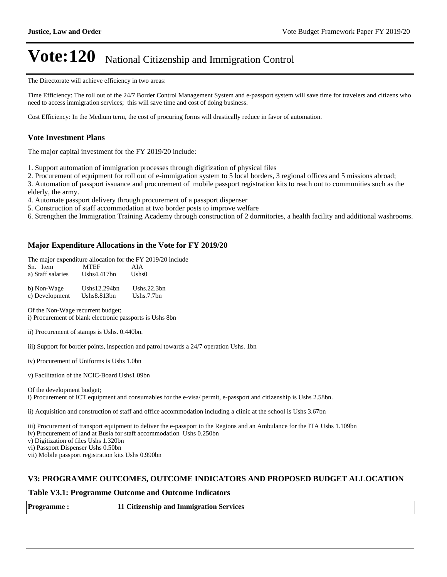The Directorate will achieve efficiency in two areas:

Time Efficiency: The roll out of the 24/7 Border Control Management System and e-passport system will save time for travelers and citizens who need to access immigration services; this will save time and cost of doing business.

Cost Efficiency: In the Medium term, the cost of procuring forms will drastically reduce in favor of automation.

#### **Vote Investment Plans**

The major capital investment for the FY 2019/20 include:

1. Support automation of immigration processes through digitization of physical files

2. Procurement of equipment for roll out of e-immigration system to 5 local borders, 3 regional offices and 5 missions abroad;

3. Automation of passport issuance and procurement of mobile passport registration kits to reach out to communities such as the elderly, the army.

4. Automate passport delivery through procurement of a passport dispenser

- 5. Construction of staff accommodation at two border posts to improve welfare
- 6. Strengthen the Immigration Training Academy through construction of 2 dormitories, a health facility and additional washrooms.

#### **Major Expenditure Allocations in the Vote for FY 2019/20**

The major expenditure allocation for the FY 2019/20 include

| Sn. Item          | <b>MTEF</b>      | AIA            |
|-------------------|------------------|----------------|
| a) Staff salaries | Ushs $4.417$ bn  | Ushs0          |
| b) Non-Wage       | Ushs $12.294$ bn | Ushs. $22.3bn$ |
| c) Development    | Ushs $8.813$ bn  | Ushs. $7.7bn$  |

Of the Non-Wage recurrent budget; i) Procurement of blank electronic passports is Ushs 8bn

- iii) Support for border points, inspection and patrol towards a 24/7 operation Ushs. 1bn
- iv) Procurement of Uniforms is Ushs 1.0bn
- v) Facilitation of the NCIC-Board Ushs1.09bn

Of the development budget;

i) Procurement of ICT equipment and consumables for the e-visa/ permit, e-passport and citizenship is Ushs 2.58bn.

ii) Acquisition and construction of staff and office accommodation including a clinic at the school is Ushs 3.67bn

iii) Procurement of transport equipment to deliver the e-passport to the Regions and an Ambulance for the ITA Ushs 1.109bn

iv) Procurement of land at Busia for staff accommodation Ushs 0.250bn

v) Digitization of files Ushs 1.320bn

vi) Passport Dispenser Ushs 0.50bn

vii) Mobile passport registration kits Ushs 0.990bn

#### **V3: PROGRAMME OUTCOMES, OUTCOME INDICATORS AND PROPOSED BUDGET ALLOCATION**

#### **Table V3.1: Programme Outcome and Outcome Indicators**

ii) Procurement of stamps is Ushs. 0.440bn.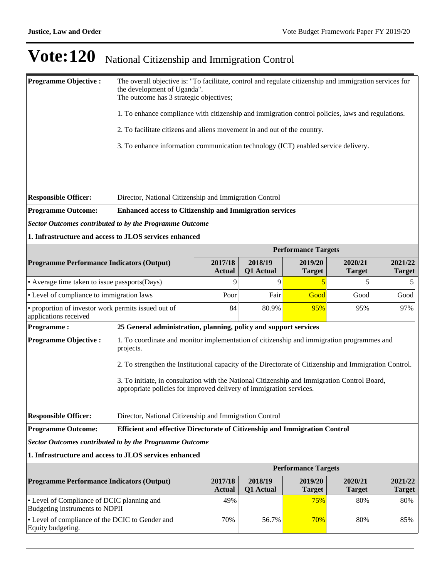| <b>Programme Objective:</b>                                                                        | The overall objective is: "To facilitate, control and regulate citizenship and immigration services for<br>the development of Uganda".<br>The outcome has 3 strategic objectives; |                                                                          |                      |                            |                          |                          |  |
|----------------------------------------------------------------------------------------------------|-----------------------------------------------------------------------------------------------------------------------------------------------------------------------------------|--------------------------------------------------------------------------|----------------------|----------------------------|--------------------------|--------------------------|--|
|                                                                                                    | 1. To enhance compliance with citizenship and immigration control policies, laws and regulations.                                                                                 |                                                                          |                      |                            |                          |                          |  |
|                                                                                                    |                                                                                                                                                                                   | 2. To facilitate citizens and aliens movement in and out of the country. |                      |                            |                          |                          |  |
|                                                                                                    | 3. To enhance information communication technology (ICT) enabled service delivery.                                                                                                |                                                                          |                      |                            |                          |                          |  |
|                                                                                                    |                                                                                                                                                                                   |                                                                          |                      |                            |                          |                          |  |
|                                                                                                    |                                                                                                                                                                                   |                                                                          |                      |                            |                          |                          |  |
| <b>Responsible Officer:</b>                                                                        | Director, National Citizenship and Immigration Control                                                                                                                            |                                                                          |                      |                            |                          |                          |  |
| <b>Programme Outcome:</b>                                                                          | <b>Enhanced access to Citizenship and Immigration services</b>                                                                                                                    |                                                                          |                      |                            |                          |                          |  |
| <b>Sector Outcomes contributed to by the Programme Outcome</b>                                     |                                                                                                                                                                                   |                                                                          |                      |                            |                          |                          |  |
| 1. Infrastructure and access to JLOS services enhanced                                             |                                                                                                                                                                                   |                                                                          |                      |                            |                          |                          |  |
|                                                                                                    |                                                                                                                                                                                   |                                                                          |                      | <b>Performance Targets</b> |                          |                          |  |
| <b>Programme Performance Indicators (Output)</b>                                                   |                                                                                                                                                                                   | 2017/18<br><b>Actual</b>                                                 | 2018/19<br>Q1 Actual | 2019/20<br><b>Target</b>   | 2020/21<br><b>Target</b> | 2021/22<br><b>Target</b> |  |
| • Average time taken to issue passports(Days)                                                      |                                                                                                                                                                                   | 9                                                                        | 9                    | 5                          | 5                        | 5                        |  |
| • Level of compliance to immigration laws                                                          |                                                                                                                                                                                   | Poor                                                                     | Fair                 | Good                       | Good                     | Good                     |  |
| • proportion of investor work permits issued out of<br>applications received                       |                                                                                                                                                                                   | 84                                                                       | 80.9%                | 95%                        | 95%                      | 97%                      |  |
| <b>Programme:</b>                                                                                  | 25 General administration, planning, policy and support services                                                                                                                  |                                                                          |                      |                            |                          |                          |  |
| <b>Programme Objective:</b>                                                                        | 1. To coordinate and monitor implementation of citizenship and immigration programmes and<br>projects.                                                                            |                                                                          |                      |                            |                          |                          |  |
|                                                                                                    | 2. To strengthen the Institutional capacity of the Directorate of Citizenship and Immigration Control.                                                                            |                                                                          |                      |                            |                          |                          |  |
|                                                                                                    | 3. To initiate, in consultation with the National Citizenship and Immigration Control Board,<br>appropriate policies for improved delivery of immigration services.               |                                                                          |                      |                            |                          |                          |  |
| <b>Responsible Officer:</b>                                                                        | Director, National Citizenship and Immigration Control                                                                                                                            |                                                                          |                      |                            |                          |                          |  |
| <b>Programme Outcome:</b>                                                                          | Efficient and effective Directorate of Citizenship and Immigration Control                                                                                                        |                                                                          |                      |                            |                          |                          |  |
| <b>Sector Outcomes contributed to by the Programme Outcome</b>                                     |                                                                                                                                                                                   |                                                                          |                      |                            |                          |                          |  |
| 1. Infrastructure and access to JLOS services enhanced                                             |                                                                                                                                                                                   |                                                                          |                      |                            |                          |                          |  |
|                                                                                                    |                                                                                                                                                                                   |                                                                          |                      | <b>Performance Targets</b> |                          |                          |  |
| <b>Programme Performance Indicators (Output)</b>                                                   |                                                                                                                                                                                   | 2017/18<br><b>Actual</b>                                                 | 2018/19<br>Q1 Actual | 2019/20<br><b>Target</b>   | 2020/21<br><b>Target</b> | 2021/22<br><b>Target</b> |  |
| • Level of Compliance of DCIC planning and<br>Budgeting instruments to NDPII                       |                                                                                                                                                                                   | 49%                                                                      |                      | 75%                        | 80%                      | 80%                      |  |
| • Level of compliance of the DCIC to Gender and<br>70%<br>70%<br>56.7%<br>80%<br>Equity budgeting. |                                                                                                                                                                                   |                                                                          |                      |                            |                          | 85%                      |  |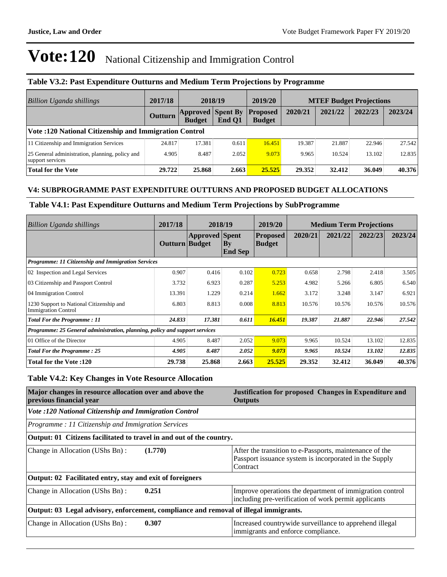#### **Table V3.2: Past Expenditure Outturns and Medium Term Projections by Programme**

| <b>Billion Uganda shillings</b>                                     | 2017/18        |                                           | 2018/19 | 2019/20                          |         |         | <b>MTEF Budget Projections</b> |         |
|---------------------------------------------------------------------|----------------|-------------------------------------------|---------|----------------------------------|---------|---------|--------------------------------|---------|
|                                                                     | <b>Outturn</b> | <b>Approved Spent By</b><br><b>Budget</b> | End O1  | <b>Proposed</b><br><b>Budget</b> | 2020/21 | 2021/22 | 2022/23                        | 2023/24 |
| <b>Vote: 120 National Citizenship and Immigration Control</b>       |                |                                           |         |                                  |         |         |                                |         |
| 11 Citizenship and Immigration Services                             | 24.817         | 17.381                                    | 0.611   | 16.451                           | 19.387  | 21.887  | 22.946                         | 27.542  |
| 25 General administration, planning, policy and<br>support services | 4.905          | 8.487                                     | 2.052   | 9.073                            | 9.965   | 10.524  | 13.102                         | 12.835  |
| Total for the Vote                                                  | 29.722         | 25.868                                    | 2.663   | 25.525                           | 29.352  | 32.412  | 36.049                         | 40.376  |

#### **V4: SUBPROGRAMME PAST EXPENDITURE OUTTURNS AND PROPOSED BUDGET ALLOCATIONS**

#### **Table V4.1: Past Expenditure Outturns and Medium Term Projections by SubProgramme**

| Billion Uganda shillings                                                    | 2017/18        | 2018/19               |                                  | 2019/20                          |         | <b>Medium Term Projections</b> |         |         |
|-----------------------------------------------------------------------------|----------------|-----------------------|----------------------------------|----------------------------------|---------|--------------------------------|---------|---------|
|                                                                             | Outturn Budget | <b>Approved</b> Spent | $\mathbf{B}$ y<br><b>End Sep</b> | <b>Proposed</b><br><b>Budget</b> | 2020/21 | 2021/22                        | 2022/23 | 2023/24 |
| Programme: 11 Citizenship and Immigration Services                          |                |                       |                                  |                                  |         |                                |         |         |
| 02 Inspection and Legal Services                                            | 0.907          | 0.416                 | 0.102                            | 0.723                            | 0.658   | 2.798                          | 2.418   | 3.505   |
| 03 Citizenship and Passport Control                                         | 3.732          | 6.923                 | 0.287                            | 5.253                            | 4.982   | 5.266                          | 6.805   | 6.540   |
| 04 Immigration Control                                                      | 13.391         | 1.229                 | 0.214                            | 1.662                            | 3.172   | 3.248                          | 3.147   | 6.921   |
| 1230 Support to National Citizenship and<br><b>Immigration Control</b>      | 6.803          | 8.813                 | 0.008                            | 8.813                            | 10.576  | 10.576                         | 10.576  | 10.576  |
| <b>Total For the Programme: 11</b>                                          | 24.833         | 17.381                | 0.611                            | 16.451                           | 19.387  | 21.887                         | 22.946  | 27.542  |
| Programme: 25 General administration, planning, policy and support services |                |                       |                                  |                                  |         |                                |         |         |
| 01 Office of the Director                                                   | 4.905          | 8.487                 | 2.052                            | 9.073                            | 9.965   | 10.524                         | 13.102  | 12.835  |
| <b>Total For the Programme: 25</b>                                          | 4.905          | 8.487                 | 2.052                            | 9.073                            | 9.965   | 10.524                         | 13.102  | 12.835  |
| <b>Total for the Vote :120</b>                                              | 29.738         | 25.868                | 2.663                            | 25.525                           | 29.352  | 32.412                         | 36.049  | 40.376  |

#### **Table V4.2: Key Changes in Vote Resource Allocation**

| Major changes in resource allocation over and above the<br>previous financial year    | Justification for proposed Changes in Expenditure and<br><b>Outputs</b>                                                       |
|---------------------------------------------------------------------------------------|-------------------------------------------------------------------------------------------------------------------------------|
| Vote :120 National Citizenship and Immigration Control                                |                                                                                                                               |
| Programme: 11 Citizenship and Immigration Services                                    |                                                                                                                               |
| Output: 01 Citizens facilitated to travel in and out of the country.                  |                                                                                                                               |
| Change in Allocation (UShs Bn):<br>(1.770)                                            | After the transition to e-Passports, maintenance of the<br>Passport issuance system is incorporated in the Supply<br>Contract |
| Output: 02 Facilitated entry, stay and exit of foreigners                             |                                                                                                                               |
| 0.251<br>Change in Allocation (UShs Bn):                                              | Improve operations the department of immigration control<br>including pre-verification of work permit applicants              |
| Output: 03 Legal advisory, enforcement, compliance and removal of illegal immigrants. |                                                                                                                               |
| 0.307<br>Change in Allocation (UShs Bn):                                              | Increased countrywide surveillance to apprehend illegal<br>immigrants and enforce compliance.                                 |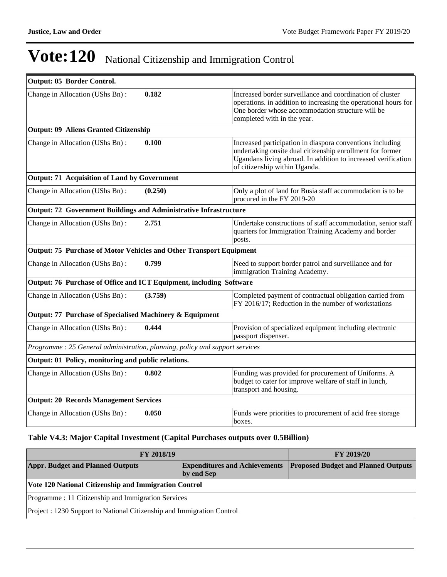-

# **Vote:120** National Citizenship and Immigration Control

| Output: 05 Border Control.                                                  |         |                                                                                                                                                                                                                          |
|-----------------------------------------------------------------------------|---------|--------------------------------------------------------------------------------------------------------------------------------------------------------------------------------------------------------------------------|
| Change in Allocation (UShs Bn):                                             | 0.182   | Increased border surveillance and coordination of cluster<br>operations. in addition to increasing the operational hours for<br>One border whose accommodation structure will be<br>completed with in the year.          |
| <b>Output: 09 Aliens Granted Citizenship</b>                                |         |                                                                                                                                                                                                                          |
| Change in Allocation (UShs Bn):                                             | 0.100   | Increased participation in diaspora conventions including<br>undertaking onsite dual citizenship enrollment for former<br>Ugandans living abroad. In addition to increased verification<br>of citizenship within Uganda. |
| <b>Output: 71 Acquisition of Land by Government</b>                         |         |                                                                                                                                                                                                                          |
| Change in Allocation (UShs Bn):                                             | (0.250) | Only a plot of land for Busia staff accommodation is to be<br>procured in the FY 2019-20                                                                                                                                 |
| <b>Output: 72 Government Buildings and Administrative Infrastructure</b>    |         |                                                                                                                                                                                                                          |
| Change in Allocation (UShs Bn):                                             | 2.751   | Undertake constructions of staff accommodation, senior staff<br>quarters for Immigration Training Academy and border<br>posts.                                                                                           |
| Output: 75 Purchase of Motor Vehicles and Other Transport Equipment         |         |                                                                                                                                                                                                                          |
| Change in Allocation (UShs Bn):                                             | 0.799   | Need to support border patrol and surveillance and for<br>immigration Training Academy.                                                                                                                                  |
| Output: 76 Purchase of Office and ICT Equipment, including Software         |         |                                                                                                                                                                                                                          |
| Change in Allocation (UShs Bn):                                             | (3.759) | Completed payment of contractual obligation carried from<br>FY 2016/17; Reduction in the number of workstations                                                                                                          |
| Output: 77 Purchase of Specialised Machinery & Equipment                    |         |                                                                                                                                                                                                                          |
| Change in Allocation (UShs Bn):                                             | 0.444   | Provision of specialized equipment including electronic<br>passport dispenser.                                                                                                                                           |
| Programme: 25 General administration, planning, policy and support services |         |                                                                                                                                                                                                                          |
| Output: 01 Policy, monitoring and public relations.                         |         |                                                                                                                                                                                                                          |
| Change in Allocation (UShs Bn):                                             | 0.802   | Funding was provided for procurement of Uniforms. A<br>budget to cater for improve welfare of staff in lunch,<br>transport and housing.                                                                                  |
| <b>Output: 20 Records Management Services</b>                               |         |                                                                                                                                                                                                                          |
| Change in Allocation (UShs Bn):                                             | 0.050   | Funds were priorities to procurement of acid free storage<br>boxes.                                                                                                                                                      |

#### **Table V4.3: Major Capital Investment (Capital Purchases outputs over 0.5Billion)**

| FY 2018/19                                                             | <b>FY 2019/20</b> |                                                                          |  |  |
|------------------------------------------------------------------------|-------------------|--------------------------------------------------------------------------|--|--|
| <b>Appr. Budget and Planned Outputs</b><br>by end Sep                  |                   | <b>Expenditures and Achievements Proposed Budget and Planned Outputs</b> |  |  |
| <b>Vote 120 National Citizenship and Immigration Control</b>           |                   |                                                                          |  |  |
| Programme: 11 Citizenship and Immigration Services                     |                   |                                                                          |  |  |
| Project : 1230 Support to National Citizenship and Immigration Control |                   |                                                                          |  |  |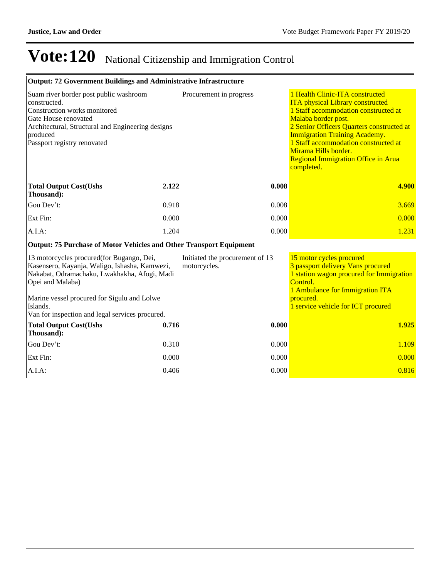| <b>Output: 72 Government Buildings and Administrative Infrastructure</b>                                                                                                                                                  |       |                                                 |                                                                                                                                                                                                                                                                                                                                                     |
|---------------------------------------------------------------------------------------------------------------------------------------------------------------------------------------------------------------------------|-------|-------------------------------------------------|-----------------------------------------------------------------------------------------------------------------------------------------------------------------------------------------------------------------------------------------------------------------------------------------------------------------------------------------------------|
| Suam river border post public washroom<br>constructed.<br>Construction works monitored<br>Gate House renovated<br>Architectural, Structural and Engineering designs<br>produced<br>Passport registry renovated            |       | Procurement in progress                         | 1 Health Clinic-ITA constructed<br><b>ITA</b> physical Library constructed<br>1 Staff accommodation constructed at<br>Malaba border post.<br>2 Senior Officers Quarters constructed at<br><b>Immigration Training Academy.</b><br>1 Staff accommodation constructed at<br>Mirama Hills border.<br>Regional Immigration Office in Arua<br>completed. |
| <b>Total Output Cost(Ushs</b><br>Thousand):                                                                                                                                                                               | 2.122 | 0.008                                           | 4.900                                                                                                                                                                                                                                                                                                                                               |
| Gou Dev't:                                                                                                                                                                                                                | 0.918 | 0.008                                           | 3.669                                                                                                                                                                                                                                                                                                                                               |
| Ext Fin:                                                                                                                                                                                                                  | 0.000 | 0.000                                           | 0.000                                                                                                                                                                                                                                                                                                                                               |
| A.I.A.                                                                                                                                                                                                                    | 1.204 | 0.000                                           | 1.231                                                                                                                                                                                                                                                                                                                                               |
| <b>Output: 75 Purchase of Motor Vehicles and Other Transport Equipment</b>                                                                                                                                                |       |                                                 |                                                                                                                                                                                                                                                                                                                                                     |
| 13 motorcycles procured(for Bugango, Dei,<br>Kasensero, Kayanja, Waligo, Ishasha, Kamwezi,<br>Nakabat, Odramachaku, Lwakhakha, Afogi, Madi<br>Opei and Malaba)<br>Marine vessel procured for Sigulu and Lolwe<br>Islands. |       | Initiated the procurement of 13<br>motorcycles. | 15 motor cycles procured<br>3 passport delivery Vans procured<br>1 station wagon procured for Immigration<br>Control.<br>1 Ambulance for Immigration ITA<br>procured.<br>1 service vehicle for ICT procured                                                                                                                                         |
| Van for inspection and legal services procured.<br><b>Total Output Cost(Ushs</b><br>Thousand):                                                                                                                            | 0.716 | 0.000                                           | 1.925                                                                                                                                                                                                                                                                                                                                               |
| Gou Dev't:                                                                                                                                                                                                                | 0.310 | 0.000                                           | 1.109                                                                                                                                                                                                                                                                                                                                               |
| Ext Fin:                                                                                                                                                                                                                  | 0.000 | 0.000                                           | 0.000                                                                                                                                                                                                                                                                                                                                               |
| A.I.A.                                                                                                                                                                                                                    | 0.406 | 0.000                                           | 0.816                                                                                                                                                                                                                                                                                                                                               |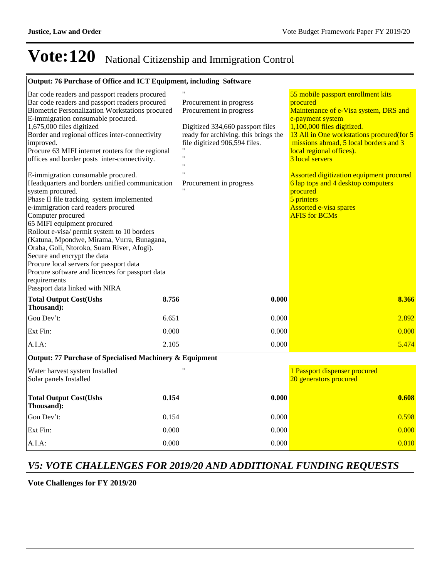| Output: 76 Purchase of Office and ICT Equipment, including Software                                                                                                                                                                                                                                                                                                                                                                                                                                                                                                                                                                                                                                                                                                                                                                                                                                                                                                    |                                                                                                                                                                                                                                |       |                                                                                                                                                                                                                                                                                                                                                                                                                                                       |
|------------------------------------------------------------------------------------------------------------------------------------------------------------------------------------------------------------------------------------------------------------------------------------------------------------------------------------------------------------------------------------------------------------------------------------------------------------------------------------------------------------------------------------------------------------------------------------------------------------------------------------------------------------------------------------------------------------------------------------------------------------------------------------------------------------------------------------------------------------------------------------------------------------------------------------------------------------------------|--------------------------------------------------------------------------------------------------------------------------------------------------------------------------------------------------------------------------------|-------|-------------------------------------------------------------------------------------------------------------------------------------------------------------------------------------------------------------------------------------------------------------------------------------------------------------------------------------------------------------------------------------------------------------------------------------------------------|
| Bar code readers and passport readers procured<br>Bar code readers and passport readers procured<br>Biometric Personalization Workstations procured<br>E-immigration consumable procured.<br>1,675,000 files digitized<br>Border and regional offices inter-connectivity<br>improved.<br>Procure 63 MIFI internet routers for the regional<br>offices and border posts inter-connectivity.<br>E-immigration consumable procured.<br>Headquarters and borders unified communication<br>system procured.<br>Phase II file tracking system implemented<br>e-immigration card readers procured<br>Computer procured<br>65 MIFI equipment procured<br>Rollout e-visa/ permit system to 10 borders<br>(Katuna, Mpondwe, Mirama, Vurra, Bunagana,<br>Oraba, Goli, Ntoroko, Suam River, Afogi).<br>Secure and encrypt the data<br>Procure local servers for passport data<br>Procure software and licences for passport data<br>requirements<br>Passport data linked with NIRA | Procurement in progress<br>Procurement in progress<br>Digitized 334,660 passport files<br>ready for archiving. this brings the<br>file digitized 906,594 files.<br>$^{\prime\prime}$<br>$^{\prime}$<br>Procurement in progress |       | 55 mobile passport enrollment kits<br>procured<br>Maintenance of e-Visa system, DRS and<br>e-payment system<br>1,100,000 files digitized.<br>13 All in One workstations procured (for 5<br>missions abroad, 5 local borders and 3<br>local regional offices).<br>3 local servers<br>Assorted digitization equipment procured<br>6 lap tops and 4 desktop computers<br>procured<br>5 printers<br><b>Assorted e-visa spares</b><br><b>AFIS for BCMs</b> |
| <b>Total Output Cost(Ushs</b><br>Thousand):                                                                                                                                                                                                                                                                                                                                                                                                                                                                                                                                                                                                                                                                                                                                                                                                                                                                                                                            | 8.756                                                                                                                                                                                                                          | 0.000 | 8.366                                                                                                                                                                                                                                                                                                                                                                                                                                                 |
| Gou Dev't:                                                                                                                                                                                                                                                                                                                                                                                                                                                                                                                                                                                                                                                                                                                                                                                                                                                                                                                                                             | 6.651                                                                                                                                                                                                                          | 0.000 | 2.892                                                                                                                                                                                                                                                                                                                                                                                                                                                 |
| Ext Fin:                                                                                                                                                                                                                                                                                                                                                                                                                                                                                                                                                                                                                                                                                                                                                                                                                                                                                                                                                               | 0.000                                                                                                                                                                                                                          | 0.000 | 0.000                                                                                                                                                                                                                                                                                                                                                                                                                                                 |
| $A.I.A$ :                                                                                                                                                                                                                                                                                                                                                                                                                                                                                                                                                                                                                                                                                                                                                                                                                                                                                                                                                              | 2.105                                                                                                                                                                                                                          | 0.000 | 5.474                                                                                                                                                                                                                                                                                                                                                                                                                                                 |
| Output: 77 Purchase of Specialised Machinery & Equipment                                                                                                                                                                                                                                                                                                                                                                                                                                                                                                                                                                                                                                                                                                                                                                                                                                                                                                               |                                                                                                                                                                                                                                |       |                                                                                                                                                                                                                                                                                                                                                                                                                                                       |
| Water harvest system Installed<br>Solar panels Installed                                                                                                                                                                                                                                                                                                                                                                                                                                                                                                                                                                                                                                                                                                                                                                                                                                                                                                               |                                                                                                                                                                                                                                |       | 1 Passport dispenser procured<br>20 generators procured                                                                                                                                                                                                                                                                                                                                                                                               |
| <b>Total Output Cost(Ushs</b><br>Thousand):                                                                                                                                                                                                                                                                                                                                                                                                                                                                                                                                                                                                                                                                                                                                                                                                                                                                                                                            | 0.154                                                                                                                                                                                                                          | 0.000 | 0.608                                                                                                                                                                                                                                                                                                                                                                                                                                                 |
| Gou Dev't:                                                                                                                                                                                                                                                                                                                                                                                                                                                                                                                                                                                                                                                                                                                                                                                                                                                                                                                                                             | 0.154                                                                                                                                                                                                                          | 0.000 | 0.598                                                                                                                                                                                                                                                                                                                                                                                                                                                 |
| Ext Fin:                                                                                                                                                                                                                                                                                                                                                                                                                                                                                                                                                                                                                                                                                                                                                                                                                                                                                                                                                               | 0.000                                                                                                                                                                                                                          | 0.000 | 0.000                                                                                                                                                                                                                                                                                                                                                                                                                                                 |
| A.I.A:                                                                                                                                                                                                                                                                                                                                                                                                                                                                                                                                                                                                                                                                                                                                                                                                                                                                                                                                                                 | 0.000                                                                                                                                                                                                                          | 0.000 | 0.010                                                                                                                                                                                                                                                                                                                                                                                                                                                 |

#### *V5: VOTE CHALLENGES FOR 2019/20 AND ADDITIONAL FUNDING REQUESTS*

**Vote Challenges for FY 2019/20**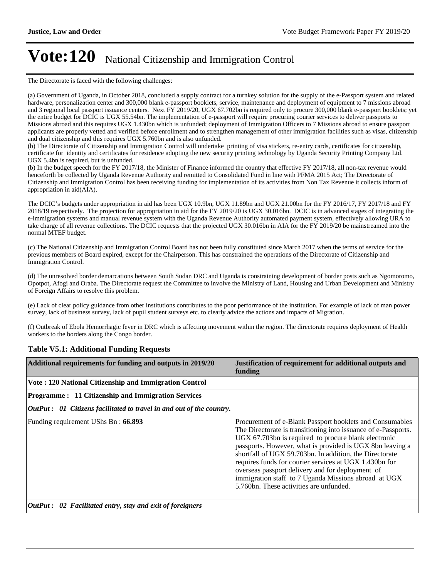The Directorate is faced with the following challenges:

(a) Government of Uganda, in October 2018, concluded a supply contract for a turnkey solution for the supply of the e-Passport system and related hardware, personalization center and 300,000 blank e-passport booklets, service, maintenance and deployment of equipment to 7 missions abroad and 3 regional local passport issuance centers. Next FY 2019/20, UGX 67.702bn is required only to procure 300,000 blank e-passport booklets; yet the entire budget for DCIC is UGX 55.54bn. The implementation of e-passport will require procuring courier services to deliver passports to Missions abroad and this requires UGX 1.430bn which is unfunded; deployment of Immigration Officers to 7 Missions abroad to ensure passport applicants are properly vetted and verified before enrollment and to strengthen management of other immigration facilities such as visas, citizenship and dual citizenship and this requires UGX 5.760bn and is also unfunded.

(b) The Directorate of Citizenship and Immigration Control will undertake printing of visa stickers, re-entry cards, certificates for citizenship, certificate for identity and certificates for residence adopting the new security printing technology by Uganda Security Printing Company Ltd. UGX 5.4bn is required, but is unfunded.

(b) In the budget speech for the FY 2017/18, the Minister of Finance informed the country that effective FY 2017/18, all non-tax revenue would henceforth be collected by Uganda Revenue Authority and remitted to Consolidated Fund in line with PFMA 2015 Act; The Directorate of Citizenship and Immigration Control has been receiving funding for implementation of its activities from Non Tax Revenue it collects inform of appropriation in aid(AIA).

The DCIC's budgets under appropriation in aid has been UGX 10.9bn, UGX 11.89bn and UGX 21.00bn for the FY 2016/17, FY 2017/18 and FY 2018/19 respectively. The projection for appropriation in aid for the FY 2019/20 is UGX 30.016bn. DCIC is in advanced stages of integrating the e-immigration systems and manual revenue system with the Uganda Revenue Authority automated payment system, effectively allowing URA to take charge of all revenue collections. The DCIC requests that the projected UGX 30.016bn in AIA for the FY 2019/20 be mainstreamed into the normal MTEF budget.

(c) The National Citizenship and Immigration Control Board has not been fully constituted since March 2017 when the terms of service for the previous members of Board expired, except for the Chairperson. This has constrained the operations of the Directorate of Citizenship and Immigration Control.

(d) The unresolved border demarcations between South Sudan DRC and Uganda is constraining development of border posts such as Ngomoromo, Opotpot, Afogi and Oraba. The Directorate request the Committee to involve the Ministry of Land, Housing and Urban Development and Ministry of Foreign Affairs to resolve this problem.

(e) Lack of clear policy guidance from other institutions contributes to the poor performance of the institution. For example of lack of man power survey, lack of business survey, lack of pupil student surveys etc. to clearly advice the actions and impacts of Migration.

(f) Outbreak of Ebola Hemorrhagic fever in DRC which is affecting movement within the region. The directorate requires deployment of Health workers to the borders along the Congo border.

#### **Additional requirements for funding and outputs in 2019/20 Justification of requirement for additional outputs and funding Vote : 120 National Citizenship and Immigration Control Programme : 11 Citizenship and Immigration Services** *OutPut : 01 Citizens facilitated to travel in and out of the country.* Funding requirement UShs Bn : **66.893** Procurement of e-Blank Passport booklets and Consumables The Directorate is transitioning into issuance of e-Passports. UGX 67.703bn is required to procure blank electronic passports. However, what is provided is UGX 8bn leaving a shortfall of UGX 59.703bn. In addition, the Directorate requires funds for courier services at UGX 1.430bn for overseas passport delivery and for deployment of immigration staff to 7 Uganda Missions abroad at UGX 5.760bn. These activities are unfunded. *OutPut : 02 Facilitated entry, stay and exit of foreigners*

#### **Table V5.1: Additional Funding Requests**